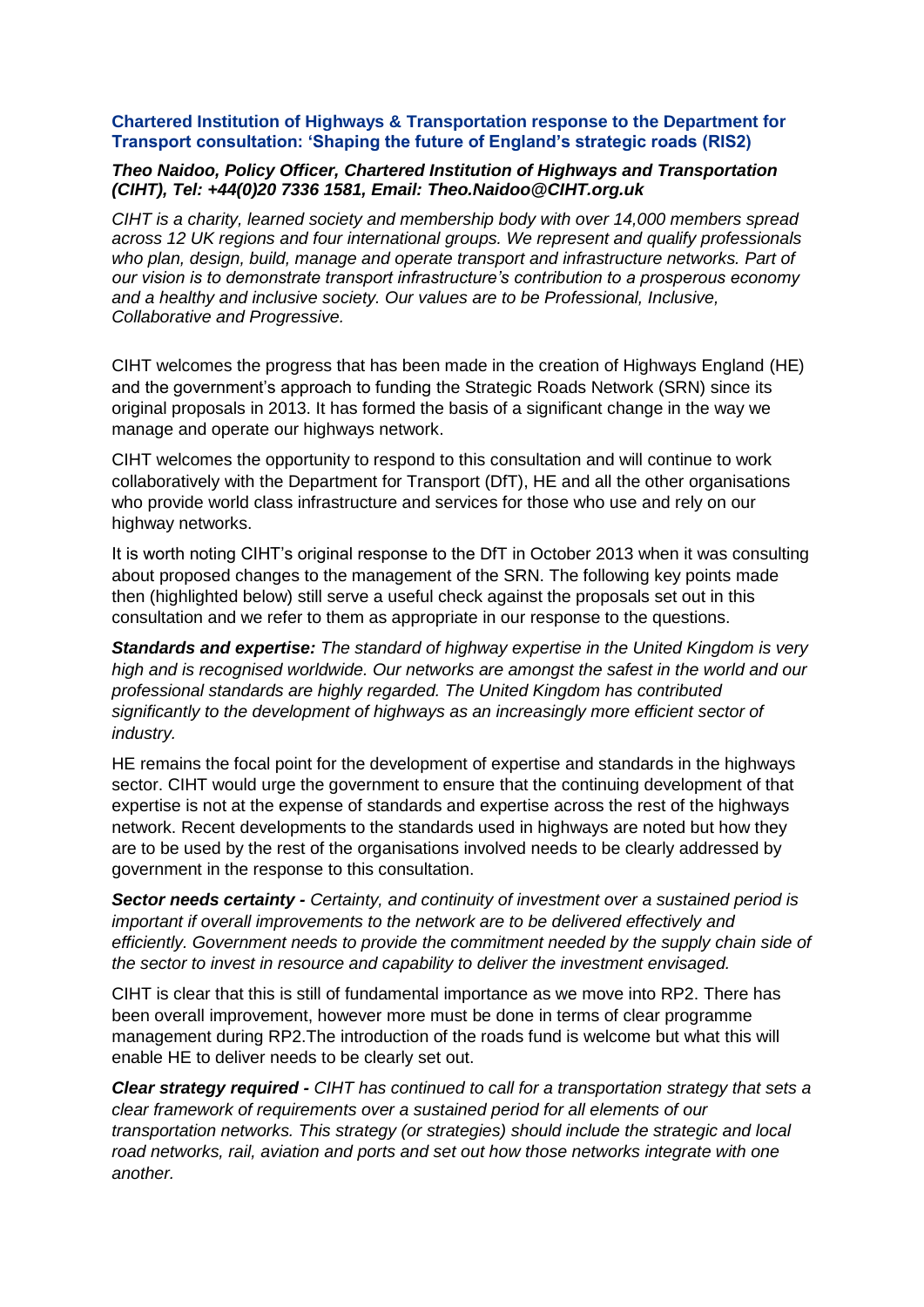#### **Chartered Institution of Highways & Transportation response to the Department for Transport consultation: 'Shaping the future of England's strategic roads (RIS2)**

#### *Theo Naidoo, Policy Officer, Chartered Institution of Highways and Transportation (CIHT), Tel: +44(0)20 7336 1581, Email: Theo.Naidoo@CIHT.org.uk*

*CIHT is a charity, learned society and membership body with over 14,000 members spread across 12 UK regions and four international groups. We represent and qualify professionals who plan, design, build, manage and operate transport and infrastructure networks. Part of our vision is to demonstrate transport infrastructure's contribution to a prosperous economy and a healthy and inclusive society. Our values are to be Professional, Inclusive, Collaborative and Progressive.*

CIHT welcomes the progress that has been made in the creation of Highways England (HE) and the government's approach to funding the Strategic Roads Network (SRN) since its original proposals in 2013. It has formed the basis of a significant change in the way we manage and operate our highways network.

CIHT welcomes the opportunity to respond to this consultation and will continue to work collaboratively with the Department for Transport (DfT), HE and all the other organisations who provide world class infrastructure and services for those who use and rely on our highway networks.

It is worth noting CIHT's original response to the DfT in October 2013 when it was consulting about proposed changes to the management of the SRN. The following key points made then (highlighted below) still serve a useful check against the proposals set out in this consultation and we refer to them as appropriate in our response to the questions.

*Standards and expertise: The standard of highway expertise in the United Kingdom is very high and is recognised worldwide. Our networks are amongst the safest in the world and our professional standards are highly regarded. The United Kingdom has contributed significantly to the development of highways as an increasingly more efficient sector of industry.*

HE remains the focal point for the development of expertise and standards in the highways sector. CIHT would urge the government to ensure that the continuing development of that expertise is not at the expense of standards and expertise across the rest of the highways network. Recent developments to the standards used in highways are noted but how they are to be used by the rest of the organisations involved needs to be clearly addressed by government in the response to this consultation.

*Sector needs certainty - Certainty, and continuity of investment over a sustained period is important if overall improvements to the network are to be delivered effectively and efficiently. Government needs to provide the commitment needed by the supply chain side of the sector to invest in resource and capability to deliver the investment envisaged.* 

CIHT is clear that this is still of fundamental importance as we move into RP2. There has been overall improvement, however more must be done in terms of clear programme management during RP2.The introduction of the roads fund is welcome but what this will enable HE to deliver needs to be clearly set out.

*Clear strategy required - CIHT has continued to call for a transportation strategy that sets a clear framework of requirements over a sustained period for all elements of our transportation networks. This strategy (or strategies) should include the strategic and local road networks, rail, aviation and ports and set out how those networks integrate with one another.*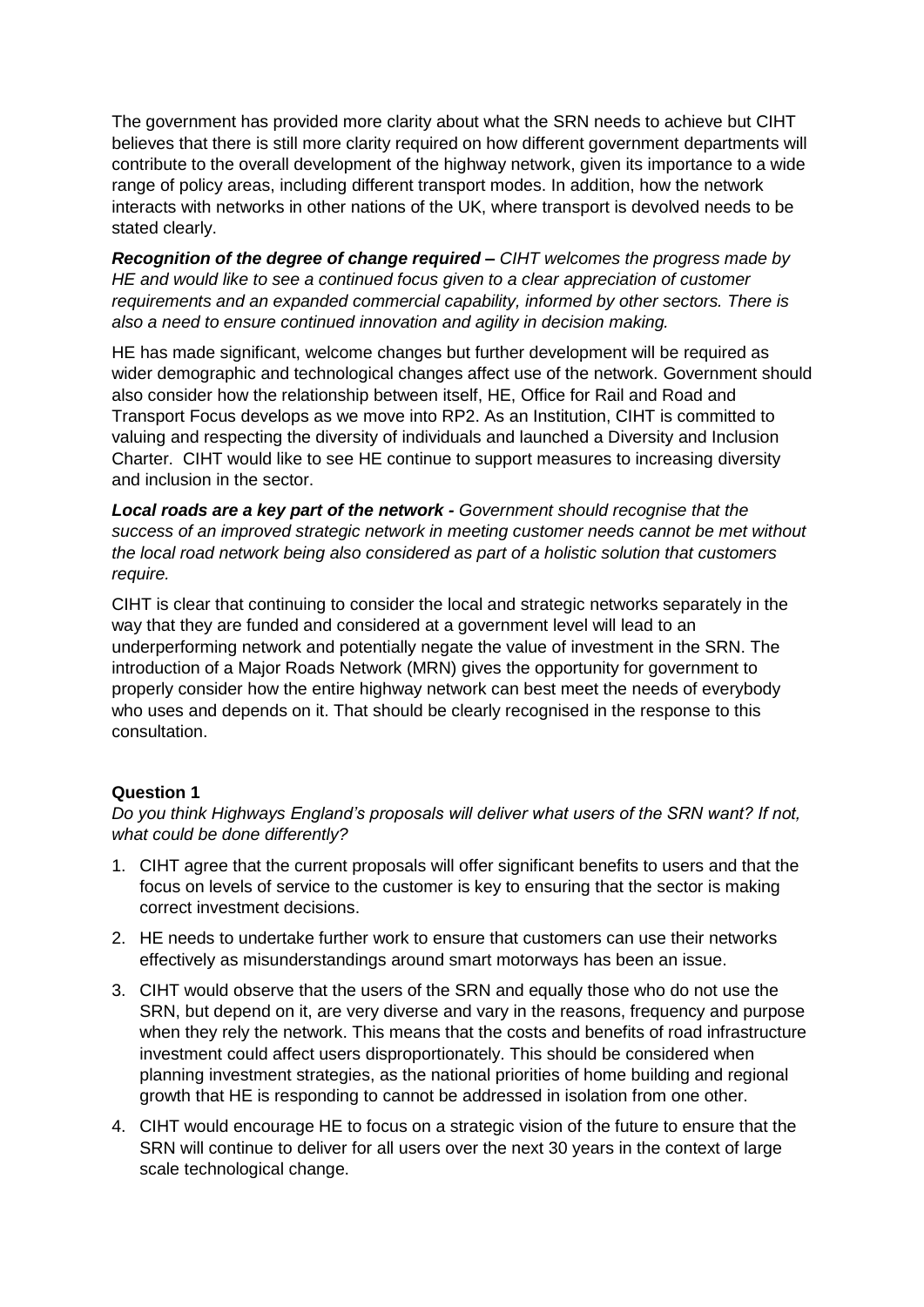The government has provided more clarity about what the SRN needs to achieve but CIHT believes that there is still more clarity required on how different government departments will contribute to the overall development of the highway network, given its importance to a wide range of policy areas, including different transport modes. In addition, how the network interacts with networks in other nations of the UK, where transport is devolved needs to be stated clearly.

*Recognition of the degree of change required – CIHT welcomes the progress made by HE and would like to see a continued focus given to a clear appreciation of customer requirements and an expanded commercial capability, informed by other sectors. There is also a need to ensure continued innovation and agility in decision making.* 

HE has made significant, welcome changes but further development will be required as wider demographic and technological changes affect use of the network. Government should also consider how the relationship between itself, HE, Office for Rail and Road and Transport Focus develops as we move into RP2. As an Institution, CIHT is committed to valuing and respecting the diversity of individuals and launched a Diversity and Inclusion Charter. CIHT would like to see HE continue to support measures to increasing diversity and inclusion in the sector.

*Local roads are a key part of the network - Government should recognise that the success of an improved strategic network in meeting customer needs cannot be met without the local road network being also considered as part of a holistic solution that customers require.* 

CIHT is clear that continuing to consider the local and strategic networks separately in the way that they are funded and considered at a government level will lead to an underperforming network and potentially negate the value of investment in the SRN. The introduction of a Major Roads Network (MRN) gives the opportunity for government to properly consider how the entire highway network can best meet the needs of everybody who uses and depends on it. That should be clearly recognised in the response to this consultation.

## **Question 1**

*Do you think Highways England's proposals will deliver what users of the SRN want? If not, what could be done differently?*

- 1. CIHT agree that the current proposals will offer significant benefits to users and that the focus on levels of service to the customer is key to ensuring that the sector is making correct investment decisions.
- 2. HE needs to undertake further work to ensure that customers can use their networks effectively as misunderstandings around smart motorways has been an issue.
- 3. CIHT would observe that the users of the SRN and equally those who do not use the SRN, but depend on it, are very diverse and vary in the reasons, frequency and purpose when they rely the network. This means that the costs and benefits of road infrastructure investment could affect users disproportionately. This should be considered when planning investment strategies, as the national priorities of home building and regional growth that HE is responding to cannot be addressed in isolation from one other.
- 4. CIHT would encourage HE to focus on a strategic vision of the future to ensure that the SRN will continue to deliver for all users over the next 30 years in the context of large scale technological change.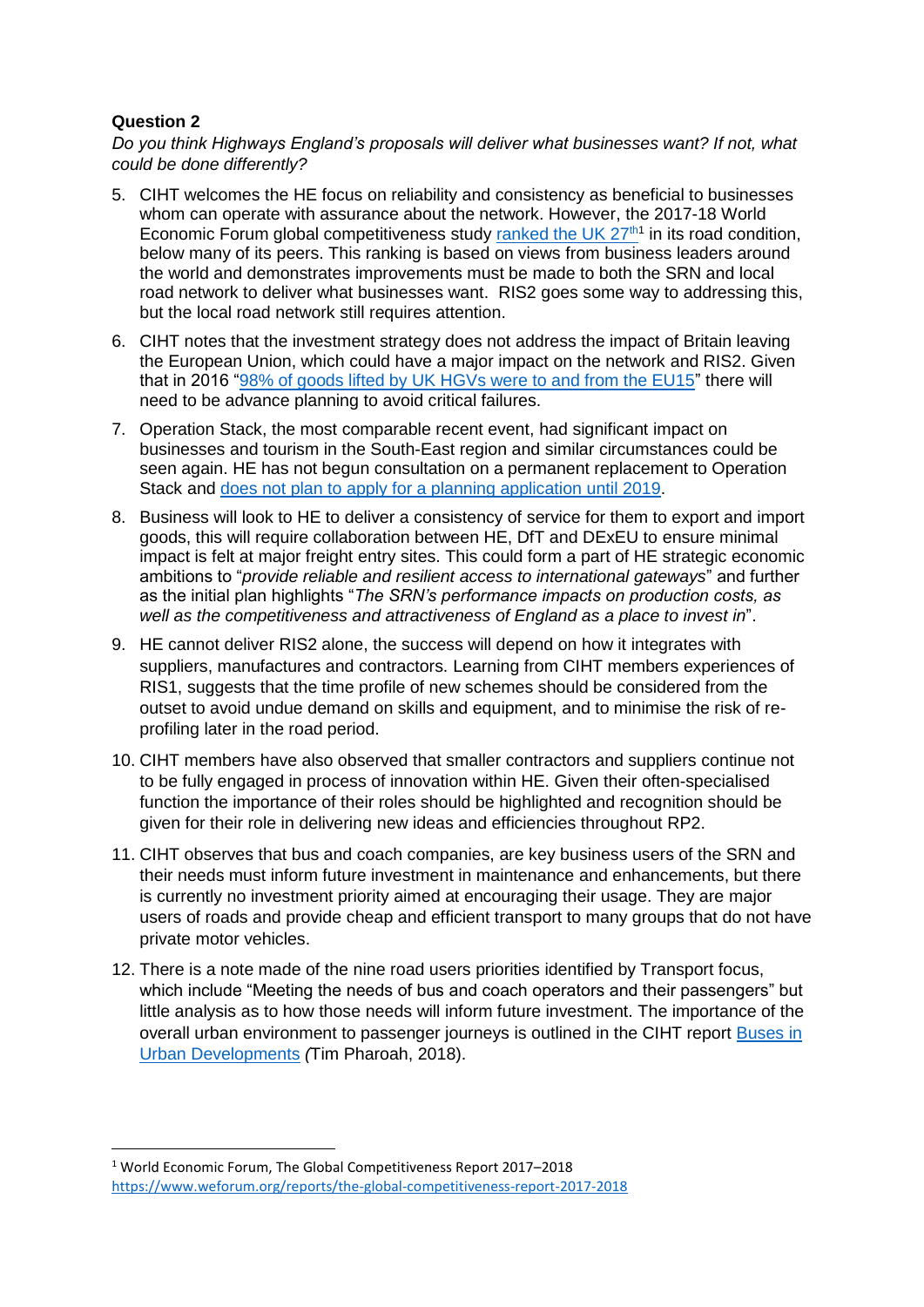$\overline{\phantom{a}}$ 

*Do you think Highways England's proposals will deliver what businesses want? If not, what could be done differently?*

- 5. CIHT welcomes the HE focus on reliability and consistency as beneficial to businesses whom can operate with assurance about the network. However, the 2017-18 World Economic Forum global competitiveness study ranked the UK  $27<sup>th1</sup>$  in its road condition, below many of its peers. This ranking is based on views from business leaders around the world and demonstrates improvements must be made to both the SRN and local road network to deliver what businesses want. RIS2 goes some way to addressing this, but the local road network still requires attention.
- 6. CIHT notes that the investment strategy does not address the impact of Britain leaving the European Union, which could have a major impact on the network and RIS2. Given that in 2016 ["98% of goods lifted by UK HGVs were to and from the EU15"](https://www.gov.uk/government/uploads/system/uploads/attachment_data/file/627121/international-road-freight-statistics-2016.pdf) there will need to be advance planning to avoid critical failures.
- 7. Operation Stack, the most comparable recent event, had significant impact on businesses and tourism in the South-East region and similar circumstances could be seen again. HE has not begun consultation on a permanent replacement to Operation Stack and does not plan [to apply for a planning application until 2019.](https://www.gov.uk/government/news/government-fully-committed-to-operation-stack-solution)
- 8. Business will look to HE to deliver a consistency of service for them to export and import goods, this will require collaboration between HE, DfT and DExEU to ensure minimal impact is felt at major freight entry sites. This could form a part of HE strategic economic ambitions to "*provide reliable and resilient access to international gateways*" and further as the initial plan highlights "*The SRN's performance impacts on production costs, as well as the competitiveness and attractiveness of England as a place to invest in*".
- 9. HE cannot deliver RIS2 alone, the success will depend on how it integrates with suppliers, manufactures and contractors. Learning from CIHT members experiences of RIS1, suggests that the time profile of new schemes should be considered from the outset to avoid undue demand on skills and equipment, and to minimise the risk of reprofiling later in the road period.
- 10. CIHT members have also observed that smaller contractors and suppliers continue not to be fully engaged in process of innovation within HE. Given their often-specialised function the importance of their roles should be highlighted and recognition should be given for their role in delivering new ideas and efficiencies throughout RP2.
- 11. CIHT observes that bus and coach companies, are key business users of the SRN and their needs must inform future investment in maintenance and enhancements, but there is currently no investment priority aimed at encouraging their usage. They are major users of roads and provide cheap and efficient transport to many groups that do not have private motor vehicles.
- 12. There is a note made of the nine road users priorities identified by Transport focus, which include "Meeting the needs of bus and coach operators and their passengers" but little analysis as to how those needs will inform future investment. The importance of the overall urban environment to passenger journeys is outlined in the CIHT report [Buses in](http://www.ciht.org.uk/en/knowledge/streets-and-transport-in-the-urban-environment/index.cfm)  [Urban Developments](http://www.ciht.org.uk/en/knowledge/streets-and-transport-in-the-urban-environment/index.cfm) *(*Tim Pharoah, 2018).

<sup>1</sup> World Economic Forum, The Global Competitiveness Report 2017–2018 <https://www.weforum.org/reports/the-global-competitiveness-report-2017-2018>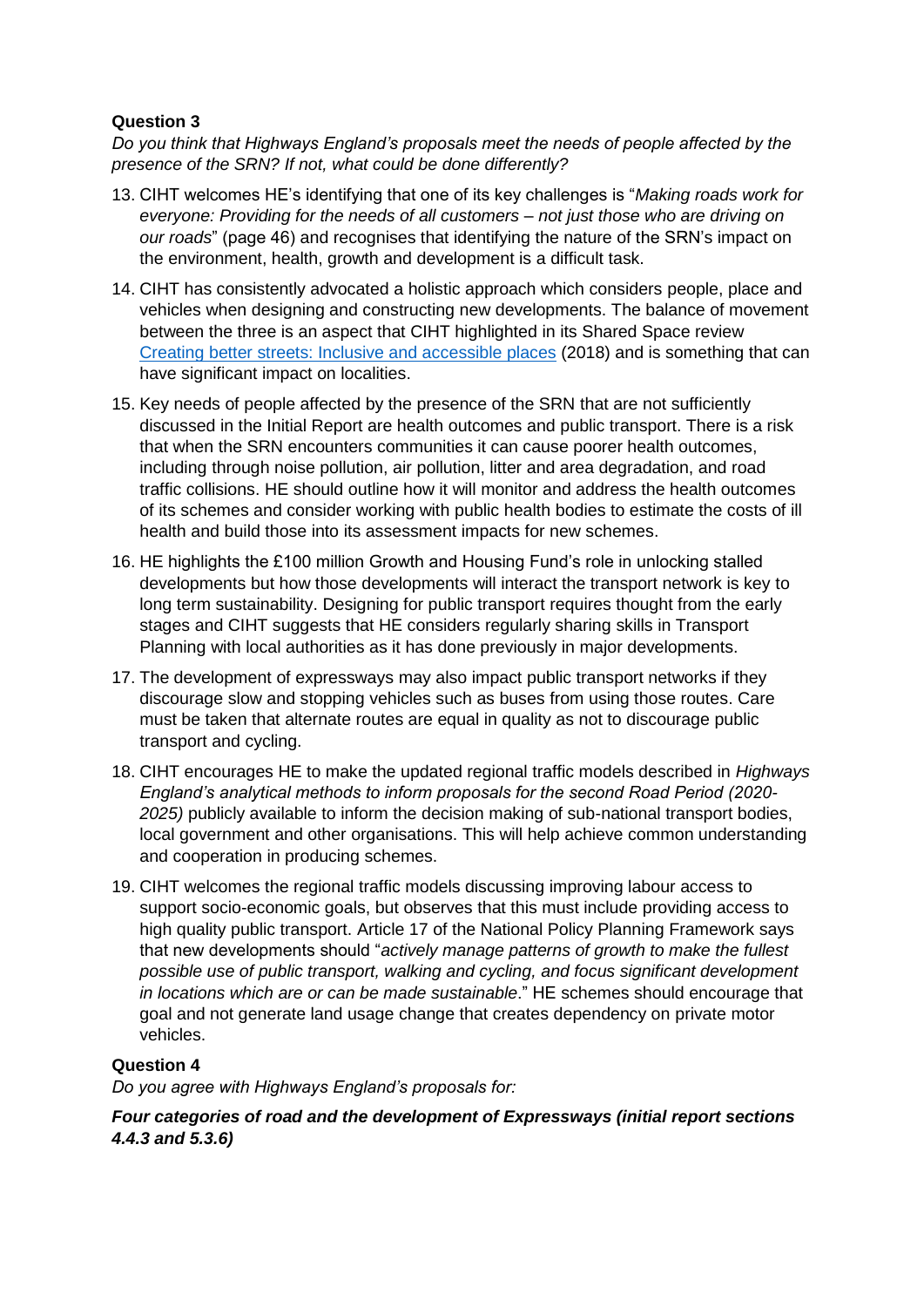*Do you think that Highways England's proposals meet the needs of people affected by the presence of the SRN? If not, what could be done differently?*

- 13. CIHT welcomes HE's identifying that one of its key challenges is "*Making roads work for everyone: Providing for the needs of all customers – not just those who are driving on our roads*" (page 46) and recognises that identifying the nature of the SRN's impact on the environment, health, growth and development is a difficult task.
- 14. CIHT has consistently advocated a holistic approach which considers people, place and vehicles when designing and constructing new developments. The balance of movement between the three is an aspect that CIHT highlighted in its Shared Space review [Creating better streets: Inclusive and accessible places](http://www.ciht.org.uk/en/document-summary/index.cfm/docid/BF28B40D-9855-46D6-B8C19E22B64AA066) (2018) and is something that can have significant impact on localities.
- 15. Key needs of people affected by the presence of the SRN that are not sufficiently discussed in the Initial Report are health outcomes and public transport. There is a risk that when the SRN encounters communities it can cause poorer health outcomes, including through noise pollution, air pollution, litter and area degradation, and road traffic collisions. HE should outline how it will monitor and address the health outcomes of its schemes and consider working with public health bodies to estimate the costs of ill health and build those into its assessment impacts for new schemes.
- 16. HE highlights the £100 million Growth and Housing Fund's role in unlocking stalled developments but how those developments will interact the transport network is key to long term sustainability. Designing for public transport requires thought from the early stages and CIHT suggests that HE considers regularly sharing skills in Transport Planning with local authorities as it has done previously in major developments.
- 17. The development of expressways may also impact public transport networks if they discourage slow and stopping vehicles such as buses from using those routes. Care must be taken that alternate routes are equal in quality as not to discourage public transport and cycling.
- 18. CIHT encourages HE to make the updated regional traffic models described in *Highways England's analytical methods to inform proposals for the second Road Period (2020- 2025)* publicly available to inform the decision making of sub-national transport bodies, local government and other organisations. This will help achieve common understanding and cooperation in producing schemes.
- 19. CIHT welcomes the regional traffic models discussing improving labour access to support socio-economic goals, but observes that this must include providing access to high quality public transport. Article 17 of the National Policy Planning Framework says that new developments should "*actively manage patterns of growth to make the fullest possible use of public transport, walking and cycling, and focus significant development in locations which are or can be made sustainable*." HE schemes should encourage that goal and not generate land usage change that creates dependency on private motor vehicles.

## **Question 4**

*Do you agree with Highways England's proposals for:*

*Four categories of road and the development of Expressways (initial report sections 4.4.3 and 5.3.6)*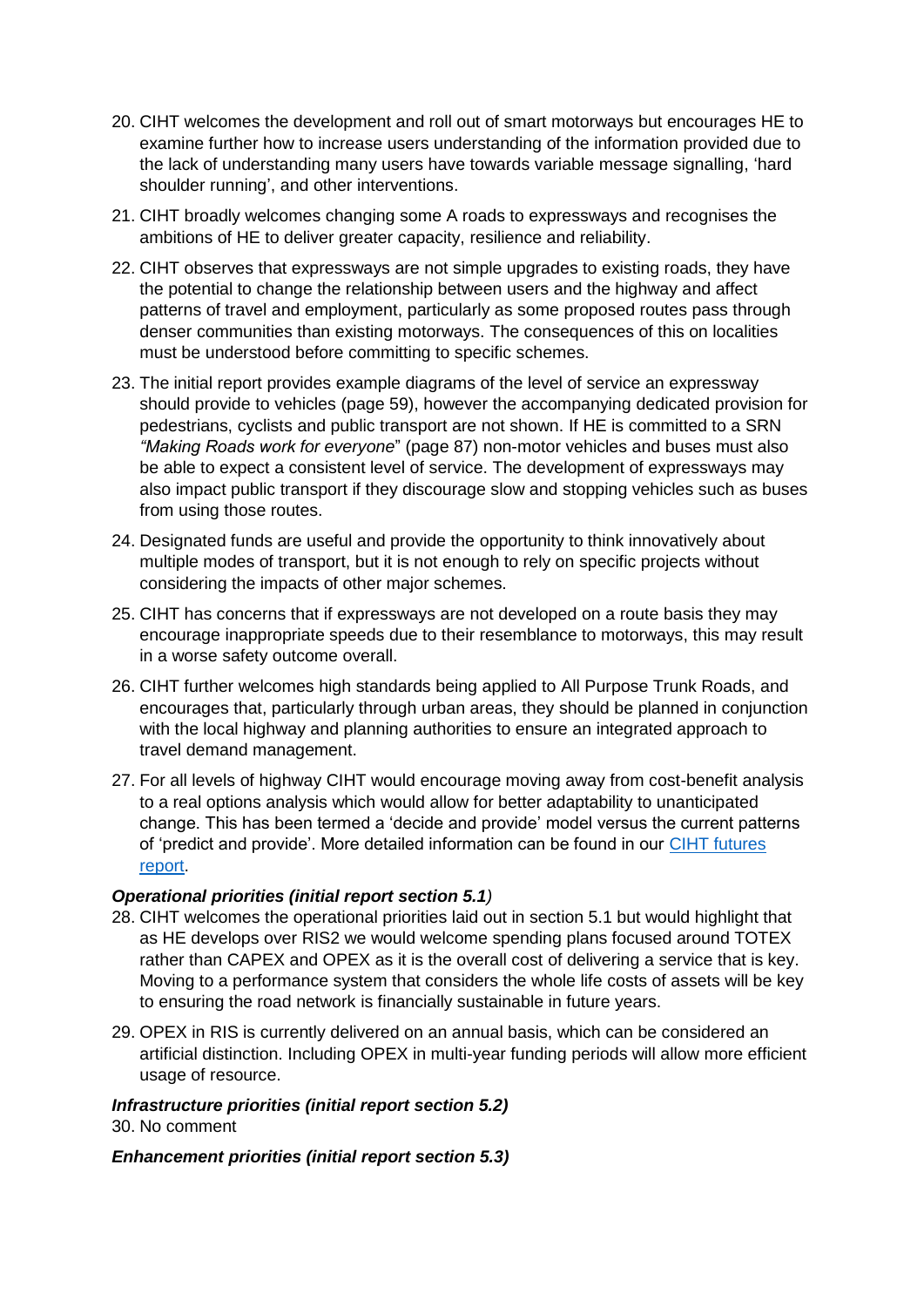- 20. CIHT welcomes the development and roll out of smart motorways but encourages HE to examine further how to increase users understanding of the information provided due to the lack of understanding many users have towards variable message signalling, 'hard shoulder running', and other interventions.
- 21. CIHT broadly welcomes changing some A roads to expressways and recognises the ambitions of HE to deliver greater capacity, resilience and reliability.
- 22. CIHT observes that expressways are not simple upgrades to existing roads, they have the potential to change the relationship between users and the highway and affect patterns of travel and employment, particularly as some proposed routes pass through denser communities than existing motorways. The consequences of this on localities must be understood before committing to specific schemes.
- 23. The initial report provides example diagrams of the level of service an expressway should provide to vehicles (page 59), however the accompanying dedicated provision for pedestrians, cyclists and public transport are not shown. If HE is committed to a SRN *"Making Roads work for everyone*" (page 87) non-motor vehicles and buses must also be able to expect a consistent level of service. The development of expressways may also impact public transport if they discourage slow and stopping vehicles such as buses from using those routes.
- 24. Designated funds are useful and provide the opportunity to think innovatively about multiple modes of transport, but it is not enough to rely on specific projects without considering the impacts of other major schemes.
- 25. CIHT has concerns that if expressways are not developed on a route basis they may encourage inappropriate speeds due to their resemblance to motorways, this may result in a worse safety outcome overall.
- 26. CIHT further welcomes high standards being applied to All Purpose Trunk Roads, and encourages that, particularly through urban areas, they should be planned in conjunction with the local highway and planning authorities to ensure an integrated approach to travel demand management.
- 27. For all levels of highway CIHT would encourage moving away from cost-benefit analysis to a real options analysis which would allow for better adaptability to unanticipated change. This has been termed a 'decide and provide' model versus the current patterns of 'predict and provide'. More detailed information can be found in our [CIHT futures](http://www.ciht.org.uk/en/document-summary/index.cfm/docid/54DF664C-DDB3-4AEA-B5D50039CCF24E9C)  [report.](http://www.ciht.org.uk/en/document-summary/index.cfm/docid/54DF664C-DDB3-4AEA-B5D50039CCF24E9C)

#### *Operational priorities (initial report section 5.1)*

- 28. CIHT welcomes the operational priorities laid out in section 5.1 but would highlight that as HE develops over RIS2 we would welcome spending plans focused around TOTEX rather than CAPEX and OPEX as it is the overall cost of delivering a service that is key. Moving to a performance system that considers the whole life costs of assets will be key to ensuring the road network is financially sustainable in future years.
- 29. OPEX in RIS is currently delivered on an annual basis, which can be considered an artificial distinction. Including OPEX in multi-year funding periods will allow more efficient usage of resource.

*Infrastructure priorities (initial report section 5.2)* 30. No comment

#### *Enhancement priorities (initial report section 5.3)*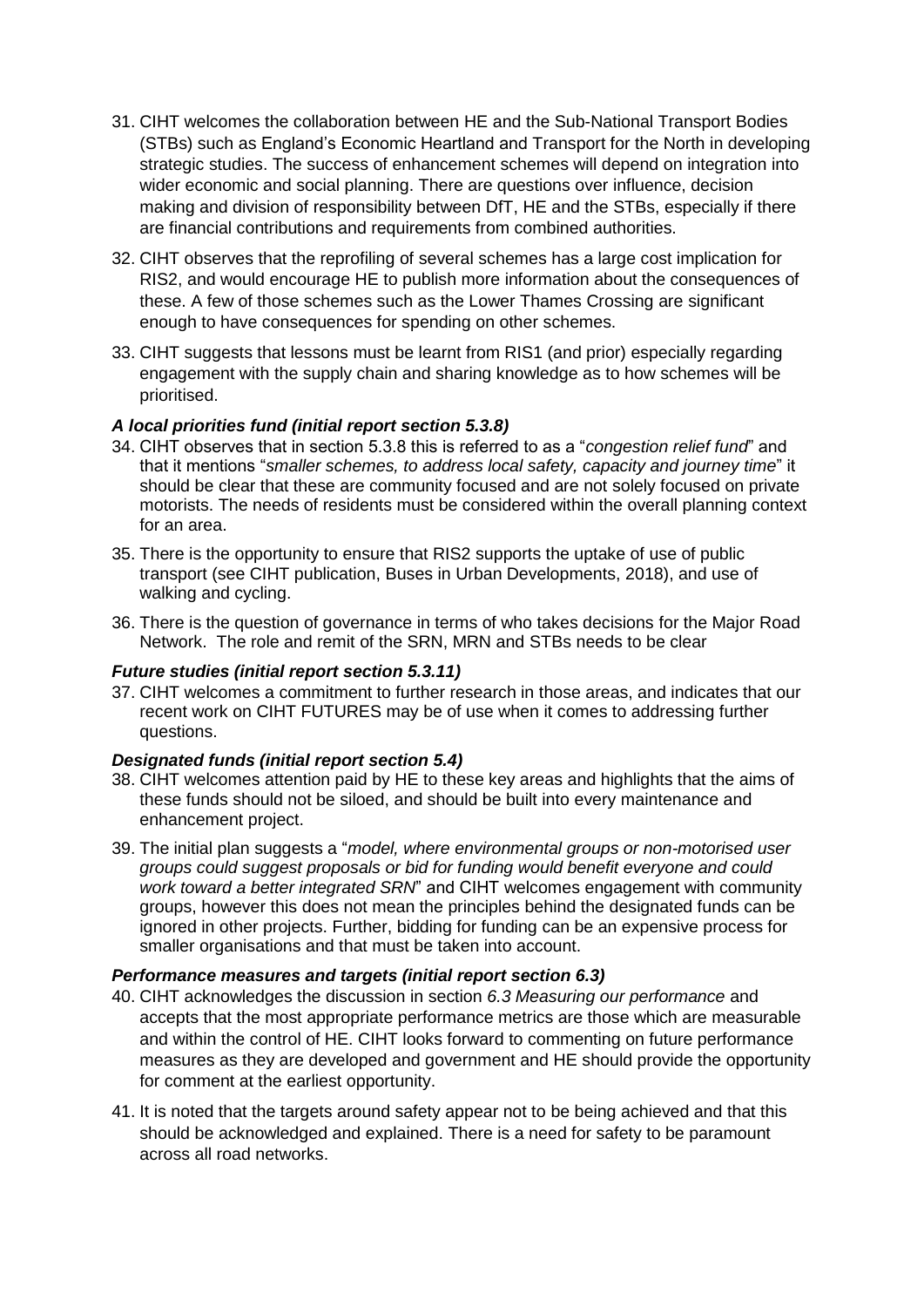- 31. CIHT welcomes the collaboration between HE and the Sub-National Transport Bodies (STBs) such as England's Economic Heartland and Transport for the North in developing strategic studies. The success of enhancement schemes will depend on integration into wider economic and social planning. There are questions over influence, decision making and division of responsibility between DfT, HE and the STBs, especially if there are financial contributions and requirements from combined authorities.
- 32. CIHT observes that the reprofiling of several schemes has a large cost implication for RIS2, and would encourage HE to publish more information about the consequences of these. A few of those schemes such as the Lower Thames Crossing are significant enough to have consequences for spending on other schemes.
- 33. CIHT suggests that lessons must be learnt from RIS1 (and prior) especially regarding engagement with the supply chain and sharing knowledge as to how schemes will be prioritised.

# *A local priorities fund (initial report section 5.3.8)*

- 34. CIHT observes that in section 5.3.8 this is referred to as a "*congestion relief fund*" and that it mentions "*smaller schemes, to address local safety, capacity and journey time*" it should be clear that these are community focused and are not solely focused on private motorists. The needs of residents must be considered within the overall planning context for an area.
- 35. There is the opportunity to ensure that RIS2 supports the uptake of use of public transport (see CIHT publication, Buses in Urban Developments, 2018), and use of walking and cycling.
- 36. There is the question of governance in terms of who takes decisions for the Major Road Network. The role and remit of the SRN, MRN and STBs needs to be clear

## *Future studies (initial report section 5.3.11)*

37. CIHT welcomes a commitment to further research in those areas, and indicates that our recent work on CIHT FUTURES may be of use when it comes to addressing further questions.

## *Designated funds (initial report section 5.4)*

- 38. CIHT welcomes attention paid by HE to these key areas and highlights that the aims of these funds should not be siloed, and should be built into every maintenance and enhancement project.
- 39. The initial plan suggests a "*model, where environmental groups or non-motorised user groups could suggest proposals or bid for funding would benefit everyone and could work toward a better integrated SRN*" and CIHT welcomes engagement with community groups, however this does not mean the principles behind the designated funds can be ignored in other projects. Further, bidding for funding can be an expensive process for smaller organisations and that must be taken into account.

## *Performance measures and targets (initial report section 6.3)*

- 40. CIHT acknowledges the discussion in section *6.3 Measuring our performance* and accepts that the most appropriate performance metrics are those which are measurable and within the control of HE. CIHT looks forward to commenting on future performance measures as they are developed and government and HE should provide the opportunity for comment at the earliest opportunity.
- 41. It is noted that the targets around safety appear not to be being achieved and that this should be acknowledged and explained. There is a need for safety to be paramount across all road networks.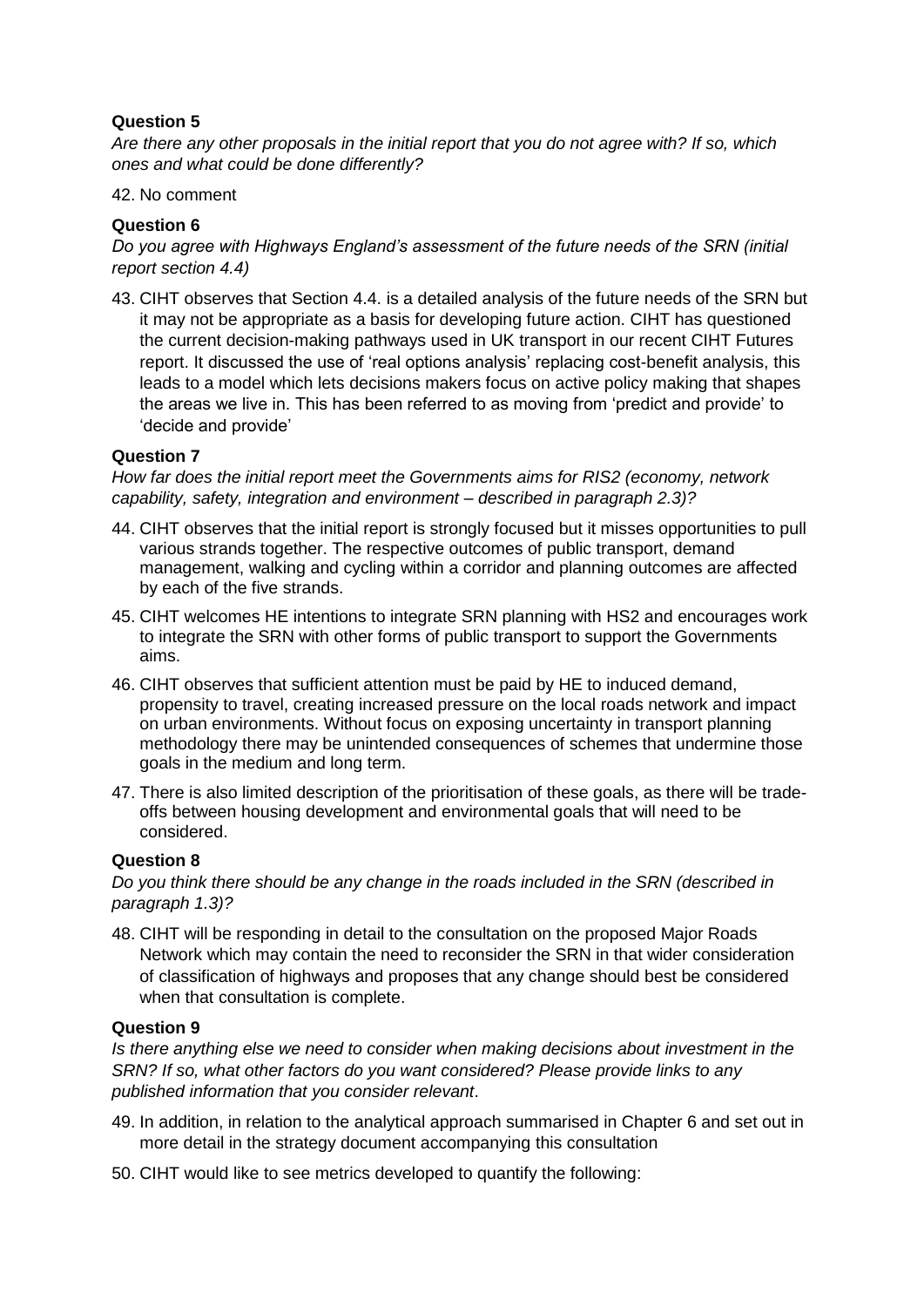*Are there any other proposals in the initial report that you do not agree with? If so, which ones and what could be done differently?*

#### 42. No comment

# **Question 6**

*Do you agree with Highways England's assessment of the future needs of the SRN (initial report section 4.4)*

43. CIHT observes that Section 4.4. is a detailed analysis of the future needs of the SRN but it may not be appropriate as a basis for developing future action. CIHT has questioned the current decision-making pathways used in UK transport in our recent CIHT Futures report. It discussed the use of 'real options analysis' replacing cost-benefit analysis, this leads to a model which lets decisions makers focus on active policy making that shapes the areas we live in. This has been referred to as moving from 'predict and provide' to 'decide and provide'

## **Question 7**

*How far does the initial report meet the Governments aims for RIS2 (economy, network capability, safety, integration and environment – described in paragraph 2.3)?*

- 44. CIHT observes that the initial report is strongly focused but it misses opportunities to pull various strands together. The respective outcomes of public transport, demand management, walking and cycling within a corridor and planning outcomes are affected by each of the five strands.
- 45. CIHT welcomes HE intentions to integrate SRN planning with HS2 and encourages work to integrate the SRN with other forms of public transport to support the Governments aims.
- 46. CIHT observes that sufficient attention must be paid by HE to induced demand, propensity to travel, creating increased pressure on the local roads network and impact on urban environments. Without focus on exposing uncertainty in transport planning methodology there may be unintended consequences of schemes that undermine those goals in the medium and long term.
- 47. There is also limited description of the prioritisation of these goals, as there will be tradeoffs between housing development and environmental goals that will need to be considered.

## **Question 8**

*Do you think there should be any change in the roads included in the SRN (described in paragraph 1.3)?*

48. CIHT will be responding in detail to the consultation on the proposed Major Roads Network which may contain the need to reconsider the SRN in that wider consideration of classification of highways and proposes that any change should best be considered when that consultation is complete.

## **Question 9**

*Is there anything else we need to consider when making decisions about investment in the SRN? If so, what other factors do you want considered? Please provide links to any published information that you consider relevant*.

- 49. In addition, in relation to the analytical approach summarised in Chapter 6 and set out in more detail in the strategy document accompanying this consultation
- 50. CIHT would like to see metrics developed to quantify the following: